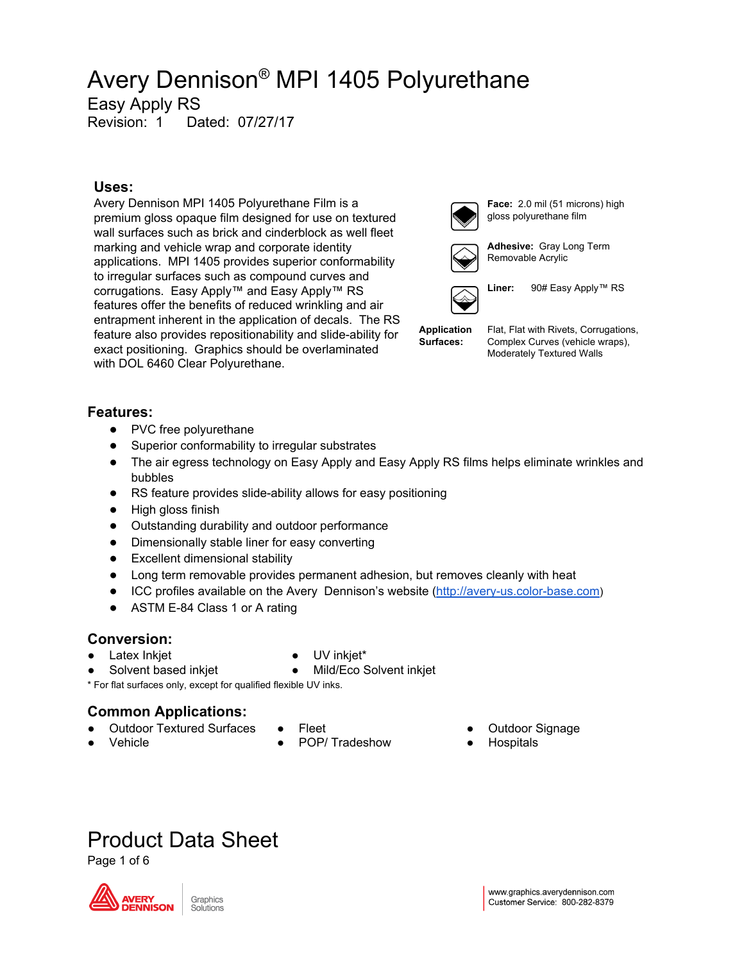Easy Apply RS

Revision: 1 Dated: 07/27/17

### **Uses:**

Avery Dennison MPI 1405 Polyurethane Film is a premium gloss opaque film designed for use on textured wall surfaces such as brick and cinderblock as well fleet marking and vehicle wrap and corporate identity applications. MPI 1405 provides superior conformability to irregular surfaces such as compound curves and corrugations. Easy Apply™ and Easy Apply™ RS features offer the benefits of reduced wrinkling and air entrapment inherent in the application of decals. The RS feature also provides repositionability and slide-ability for exact positioning. Graphics should be overlaminated with DOL 6460 Clear Polyurethane.



**Face:** 2.0 mil (51 microns) high gloss polyurethane film



**Adhesive:** Gray Long Term Removable Acrylic



**Liner:** 90# Easy Apply™ RS

**Application Surfaces:**

Flat, Flat with Rivets, Corrugations, Complex Curves (vehicle wraps), Moderately Textured Walls

### **Features:**

- PVC free polyurethane
- Superior conformability to irregular substrates
- The air egress technology on Easy Apply and Easy Apply RS films helps eliminate wrinkles and bubbles
- RS feature provides slide-ability allows for easy positioning
- High gloss finish
- Outstanding durability and outdoor performance
- Dimensionally stable liner for easy converting
- Excellent dimensional stability
- Long term removable provides permanent adhesion, but removes cleanly with heat
- ICC profiles available on the Avery Dennison's website [\(http://avery-us.color-base.com](http://avery-us.color-base.com/))
- ASTM E-84 Class 1 or A rating

### **Conversion:**

● Latex Inkjet

- UV inkjet\*
- Solvent based inkjet
- Mild/Eco Solvent inkjet

\* For flat surfaces only, except for qualified flexible UV inks.

### **Common Applications:**

- **Outdoor Textured Surfaces**
- Vehicle
- **Fleet** 
	- POP/ Tradeshow
- Outdoor Signage
- **Hospitals**

# Product Data Sheet

Page 1 of 6

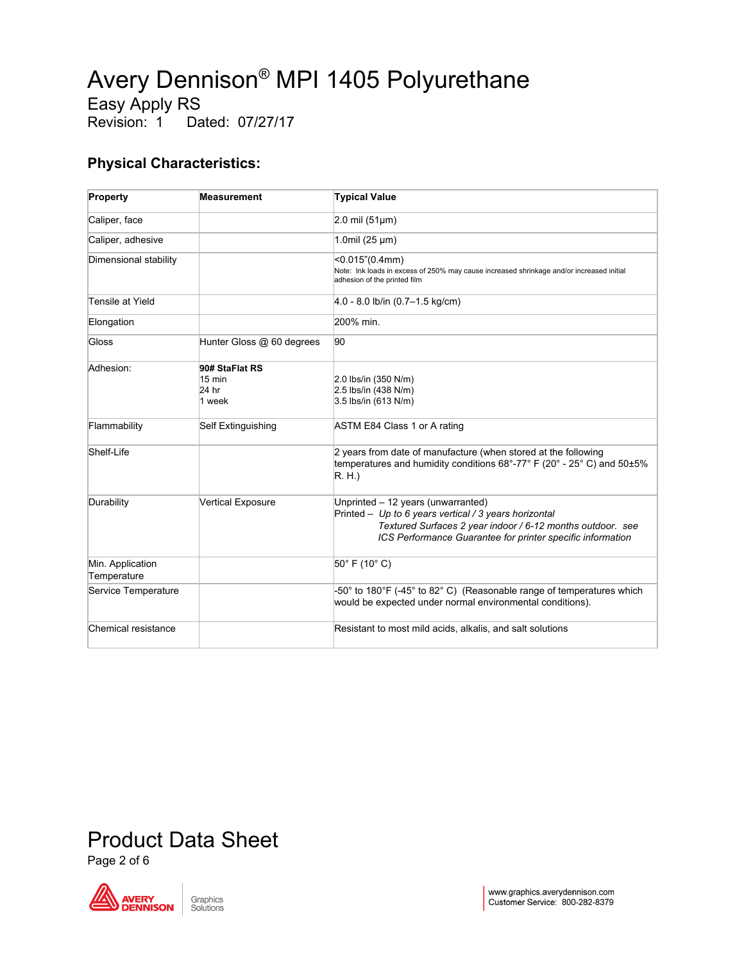Easy Apply RS<br>Revision: 1 Da

Dated: 07/27/17

### **Physical Characteristics:**

| Property                        | <b>Measurement</b>                                    | <b>Typical Value</b>                                                                                                                                                                                                    |
|---------------------------------|-------------------------------------------------------|-------------------------------------------------------------------------------------------------------------------------------------------------------------------------------------------------------------------------|
| Caliper, face                   |                                                       | $2.0$ mil (51 $\mu$ m)                                                                                                                                                                                                  |
| Caliper, adhesive               |                                                       | $1.0$ mil $(25 \mu m)$                                                                                                                                                                                                  |
| Dimensional stability           |                                                       | $<$ 0.015"(0.4mm)<br>Note: Ink loads in excess of 250% may cause increased shrinkage and/or increased initial<br>adhesion of the printed film                                                                           |
| Tensile at Yield                |                                                       | $4.0 - 8.0$ lb/in $(0.7 - 1.5$ kg/cm)                                                                                                                                                                                   |
| Elongation                      |                                                       | 200% min.                                                                                                                                                                                                               |
| Gloss                           | Hunter Gloss @ 60 degrees                             | 90                                                                                                                                                                                                                      |
| Adhesion:                       | 90# StaFlat RS<br>$15 \text{ min}$<br>24 hr<br>1 week | 2.0 lbs/in (350 N/m)<br>2.5 lbs/in (438 N/m)<br>3.5 lbs/in (613 N/m)                                                                                                                                                    |
| Flammability                    | Self Extinguishing                                    | ASTM E84 Class 1 or A rating                                                                                                                                                                                            |
| Shelf-Life                      |                                                       | 2 years from date of manufacture (when stored at the following<br>temperatures and humidity conditions 68°-77° F (20° - 25° C) and 50±5%<br>R.H.                                                                        |
| Durability                      | <b>Vertical Exposure</b>                              | Unprinted - 12 years (unwarranted)<br>Printed - Up to 6 years vertical / 3 years horizontal<br>Textured Surfaces 2 year indoor / 6-12 months outdoor. see<br>ICS Performance Guarantee for printer specific information |
| Min. Application<br>Temperature |                                                       | $50^{\circ}$ F (10 $^{\circ}$ C)                                                                                                                                                                                        |
| Service Temperature             |                                                       | -50° to 180°F (-45° to 82° C) (Reasonable range of temperatures which<br>would be expected under normal environmental conditions).                                                                                      |
| Chemical resistance             |                                                       | Resistant to most mild acids, alkalis, and salt solutions                                                                                                                                                               |

# Product Data Sheet

Page 2 of 6

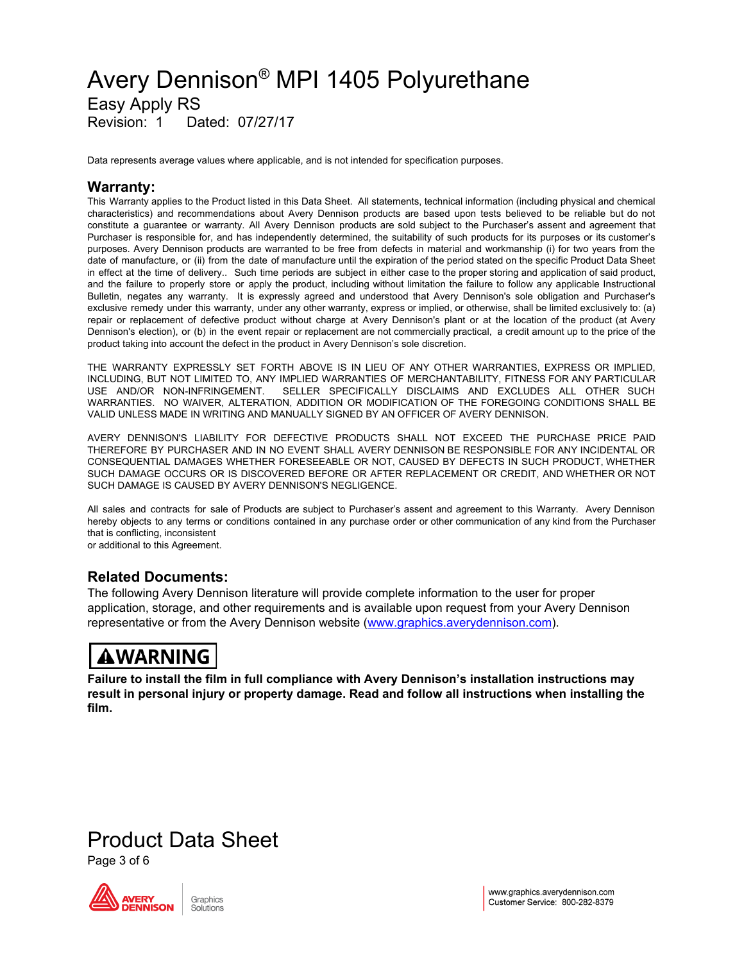### Avery Dennison ® MPI 1405 Polyurethane Easy Apply RS Revision: 1 Dated: 07/27/17

Data represents average values where applicable, and is not intended for specification purposes.

### **Warranty:**

This Warranty applies to the Product listed in this Data Sheet. All statements, technical information (including physical and chemical characteristics) and recommendations about Avery Dennison products are based upon tests believed to be reliable but do not constitute a guarantee or warranty. All Avery Dennison products are sold subject to the Purchaser's assent and agreement that Purchaser is responsible for, and has independently determined, the suitability of such products for its purposes or its customer's purposes. Avery Dennison products are warranted to be free from defects in material and workmanship (i) for two years from the date of manufacture, or (ii) from the date of manufacture until the expiration of the period stated on the specific Product Data Sheet in effect at the time of delivery.. Such time periods are subject in either case to the proper storing and application of said product, and the failure to properly store or apply the product, including without limitation the failure to follow any applicable Instructional Bulletin, negates any warranty. It is expressly agreed and understood that Avery Dennison's sole obligation and Purchaser's exclusive remedy under this warranty, under any other warranty, express or implied, or otherwise, shall be limited exclusively to: (a) repair or replacement of defective product without charge at Avery Dennison's plant or at the location of the product (at Avery Dennison's election), or (b) in the event repair or replacement are not commercially practical, a credit amount up to the price of the product taking into account the defect in the product in Avery Dennison's sole discretion.

THE WARRANTY EXPRESSLY SET FORTH ABOVE IS IN LIEU OF ANY OTHER WARRANTIES, EXPRESS OR IMPLIED, INCLUDING, BUT NOT LIMITED TO, ANY IMPLIED WARRANTIES OF MERCHANTABILITY, FITNESS FOR ANY PARTICULAR USE AND/OR NON-INFRINGEMENT. SELLER SPECIFICALLY DISCLAIMS AND EXCLUDES ALL OTHER SUCH WARRANTIES. NO WAIVER, ALTERATION, ADDITION OR MODIFICATION OF THE FOREGOING CONDITIONS SHALL BE VALID UNLESS MADE IN WRITING AND MANUALLY SIGNED BY AN OFFICER OF AVERY DENNISON.

AVERY DENNISON'S LIABILITY FOR DEFECTIVE PRODUCTS SHALL NOT EXCEED THE PURCHASE PRICE PAID THEREFORE BY PURCHASER AND IN NO EVENT SHALL AVERY DENNISON BE RESPONSIBLE FOR ANY INCIDENTAL OR CONSEQUENTIAL DAMAGES WHETHER FORESEEABLE OR NOT, CAUSED BY DEFECTS IN SUCH PRODUCT, WHETHER SUCH DAMAGE OCCURS OR IS DISCOVERED BEFORE OR AFTER REPLACEMENT OR CREDIT, AND WHETHER OR NOT SUCH DAMAGE IS CAUSED BY AVERY DENNISON'S NEGLIGENCE.

All sales and contracts for sale of Products are subject to Purchaser's assent and agreement to this Warranty. Avery Dennison hereby objects to any terms or conditions contained in any purchase order or other communication of any kind from the Purchaser that is conflicting, inconsistent or additional to this Agreement.

### **Related Documents:**

The following Avery Dennison literature will provide complete information to the user for proper application, storage, and other requirements and is available upon request from your Avery Dennison representative or from the Avery Dennison website [\(www.graphics.averydennison.com](http://www.graphics.averydennison.com/)).

### **AWARNING**

**Failure to install the film in full compliance with Avery Dennison's installation instructions may result in personal injury or property damage. Read and follow all instructions when installing the film.**

### Product Data Sheet

Page 3 of 6

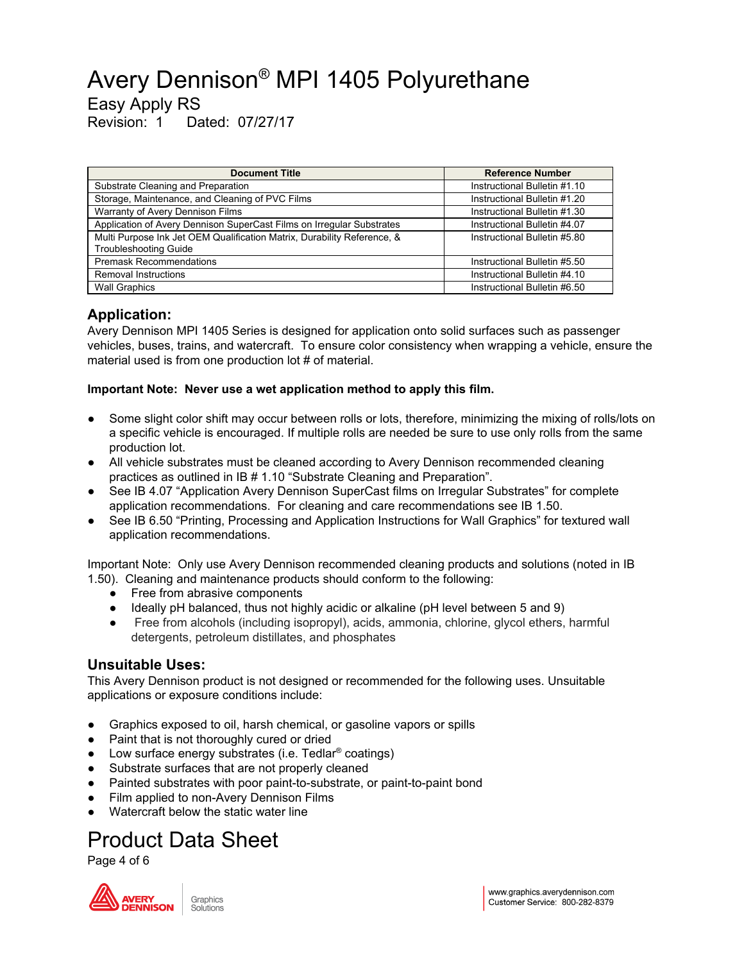Easy Apply RS

Revision: 1 Dated: 07/27/17

| <b>Document Title</b>                                                   | <b>Reference Number</b>      |
|-------------------------------------------------------------------------|------------------------------|
| Substrate Cleaning and Preparation                                      | Instructional Bulletin #1.10 |
| Storage, Maintenance, and Cleaning of PVC Films                         | Instructional Bulletin #1.20 |
| Warranty of Avery Dennison Films                                        | Instructional Bulletin #1.30 |
| Application of Avery Dennison SuperCast Films on Irregular Substrates   | Instructional Bulletin #4.07 |
| Multi Purpose Ink Jet OEM Qualification Matrix, Durability Reference, & | Instructional Bulletin #5.80 |
| <b>Troubleshooting Guide</b>                                            |                              |
| <b>Premask Recommendations</b>                                          | Instructional Bulletin #5.50 |
| Removal Instructions                                                    | Instructional Bulletin #4.10 |
| <b>Wall Graphics</b>                                                    | Instructional Bulletin #6.50 |

### **Application:**

Avery Dennison MPI 1405 Series is designed for application onto solid surfaces such as passenger vehicles, buses, trains, and watercraft. To ensure color consistency when wrapping a vehicle, ensure the material used is from one production lot # of material.

#### **Important Note: Never use a wet application method to apply this film.**

- Some slight color shift may occur between rolls or lots, therefore, minimizing the mixing of rolls/lots on a specific vehicle is encouraged. If multiple rolls are needed be sure to use only rolls from the same production lot.
- All vehicle substrates must be cleaned according to Avery Dennison recommended cleaning practices as outlined in IB # 1.10 "Substrate Cleaning and Preparation".
- See IB 4.07 "Application Avery Dennison SuperCast films on Irregular Substrates" for complete application recommendations. For cleaning and care recommendations see IB 1.50.
- See IB 6.50 "Printing, Processing and Application Instructions for Wall Graphics" for textured wall application recommendations.

Important Note: Only use Avery Dennison recommended cleaning products and solutions (noted in IB 1.50). Cleaning and maintenance products should conform to the following:

- Free from abrasive components
- Ideally pH balanced, thus not highly acidic or alkaline (pH level between 5 and 9)
- Free from alcohols (including isopropyl), acids, ammonia, chlorine, glycol ethers, harmful detergents, petroleum distillates, and phosphates

### **Unsuitable Uses:**

This Avery Dennison product is not designed or recommended for the following uses. Unsuitable applications or exposure conditions include:

- Graphics exposed to oil, harsh chemical, or gasoline vapors or spills
- Paint that is not thoroughly cured or dried
- Low surface energy substrates (i.e. Tedlar<sup>®</sup> coatings)
- Substrate surfaces that are not properly cleaned
- Painted substrates with poor paint-to-substrate, or paint-to-paint bond
- Film applied to non-Avery Dennison Films
- Watercraft below the static water line

# Product Data Sheet

Page 4 of 6

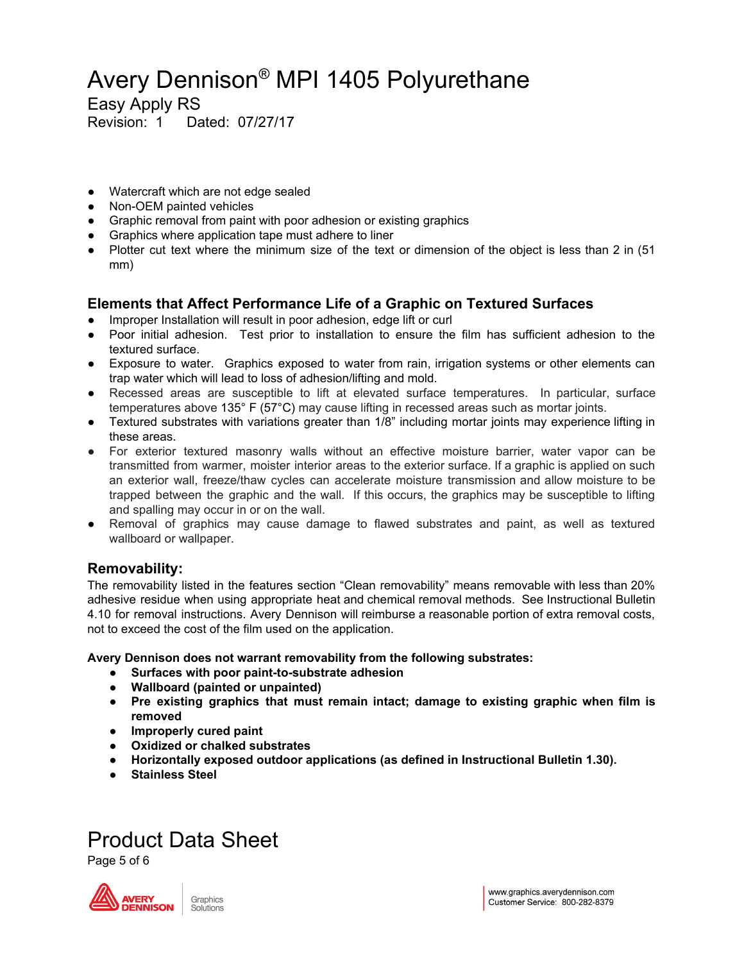Easy Apply RS

Revision: 1 Dated: 07/27/17

- Watercraft which are not edge sealed
- Non-OEM painted vehicles
- Graphic removal from paint with poor adhesion or existing graphics
- Graphics where application tape must adhere to liner
- Plotter cut text where the minimum size of the text or dimension of the object is less than 2 in (51 mm)

### **Elements that Affect Performance Life of a Graphic on Textured Surfaces**

- Improper Installation will result in poor adhesion, edge lift or curl
- Poor initial adhesion. Test prior to installation to ensure the film has sufficient adhesion to the textured surface.
- Exposure to water. Graphics exposed to water from rain, irrigation systems or other elements can trap water which will lead to loss of adhesion/lifting and mold.
- Recessed areas are susceptible to lift at elevated surface temperatures. In particular, surface temperatures above 135° F (57°C) may cause lifting in recessed areas such as mortar joints.
- Textured substrates with variations greater than 1/8" including mortar joints may experience lifting in these areas.
- For exterior textured masonry walls without an effective moisture barrier, water vapor can be transmitted from warmer, moister interior areas to the exterior surface. If a graphic is applied on such an exterior wall, freeze/thaw cycles can accelerate moisture transmission and allow moisture to be trapped between the graphic and the wall. If this occurs, the graphics may be susceptible to lifting and spalling may occur in or on the wall.
- Removal of graphics may cause damage to flawed substrates and paint, as well as textured wallboard or wallpaper.

### **Removability:**

The removability listed in the features section "Clean removability" means removable with less than 20% adhesive residue when using appropriate heat and chemical removal methods. See Instructional Bulletin 4.10 for removal instructions. Avery Dennison will reimburse a reasonable portion of extra removal costs, not to exceed the cost of the film used on the application.

**Avery Dennison does not warrant removability from the following substrates:**

- **● Surfaces with poor paint-to-substrate adhesion**
- **● Wallboard (painted or unpainted)**
- **● Pre existing graphics that must remain intact; damage to existing graphic when film is removed**
- **● Improperly cured paint**
- **● Oxidized or chalked substrates**
- **● Horizontally exposed outdoor applications (as defined in Instructional Bulletin 1.30).**
- **● Stainless Steel**

## Product Data Sheet

Page 5 of 6